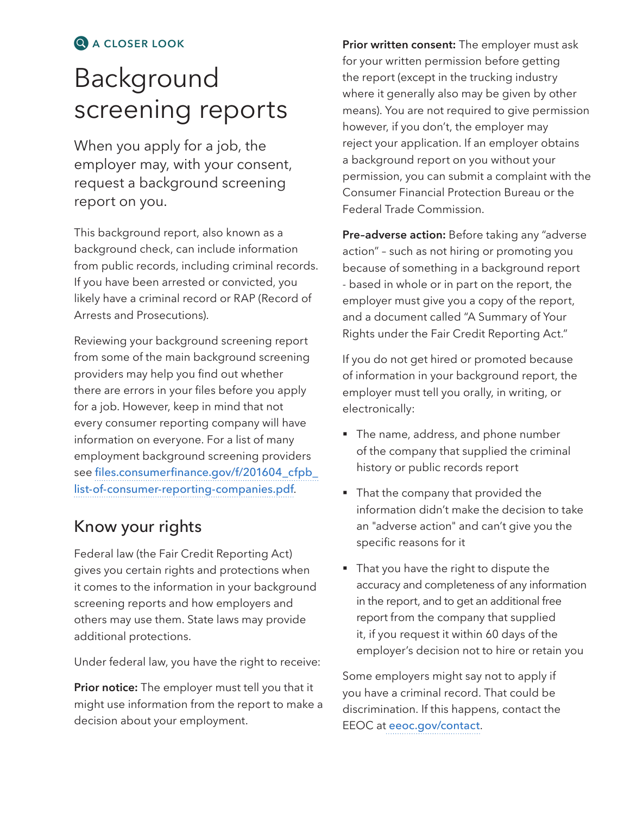#### q **A CLOSER LOOK**

# Background screening reports

When you apply for a job, the employer may, with your consent, request a background screening report on you.

This background report, also known as a background check, can include information from public records, including criminal records. If you have been arrested or convicted, you likely have a criminal record or RAP (Record of Arrests and Prosecutions).

Reviewing your background screening report from some of the main background screening providers may help you find out whether there are errors in your files before you apply for a job. However, keep in mind that not every consumer reporting company will have information on everyone. For a list of many employment background screening providers see [files.consumerfinance.gov/f/201604\\_cfpb\\_](http://files.consumerfinance.gov/f/201604_cfpb_list-of-consumer-reporting-companies.pdf) [list-of-consumer-reporting-companies.pdf](http://files.consumerfinance.gov/f/201604_cfpb_list-of-consumer-reporting-companies.pdf).

### Know your rights

Federal law (the Fair Credit Reporting Act) gives you certain rights and protections when it comes to the information in your background screening reports and how employers and others may use them. State laws may provide additional protections.

Under federal law, you have the right to receive:

**Prior notice:** The employer must tell you that it might use information from the report to make a decision about your employment.

**Prior written consent:** The employer must ask for your written permission before getting the report (except in the trucking industry where it generally also may be given by other means). You are not required to give permission however, if you don't, the employer may reject your application. If an employer obtains a background report on you without your permission, you can submit a complaint with the Consumer Financial Protection Bureau or the Federal Trade Commission.

**Pre–adverse action:** Before taking any "adverse action" – such as not hiring or promoting you because of something in a background report - based in whole or in part on the report, the employer must give you a copy of the report, and a document called "A Summary of Your Rights under the Fair Credit Reporting Act."

If you do not get hired or promoted because of information in your background report, the employer must tell you orally, in writing, or electronically:

- The name, address, and phone number of the company that supplied the criminal history or public records report
- That the company that provided the information didn't make the decision to take an "adverse action" and can't give you the specific reasons for it
- That you have the right to dispute the accuracy and completeness of any information in the report, and to get an additional free report from the company that supplied it, if you request it within 60 days of the employer's decision not to hire or retain you

Some employers might say not to apply if you have a criminal record. That could be discrimination. If this happens, contact the EEOC at [eeoc.gov/contact](http://www.eeoc.gov/contact).